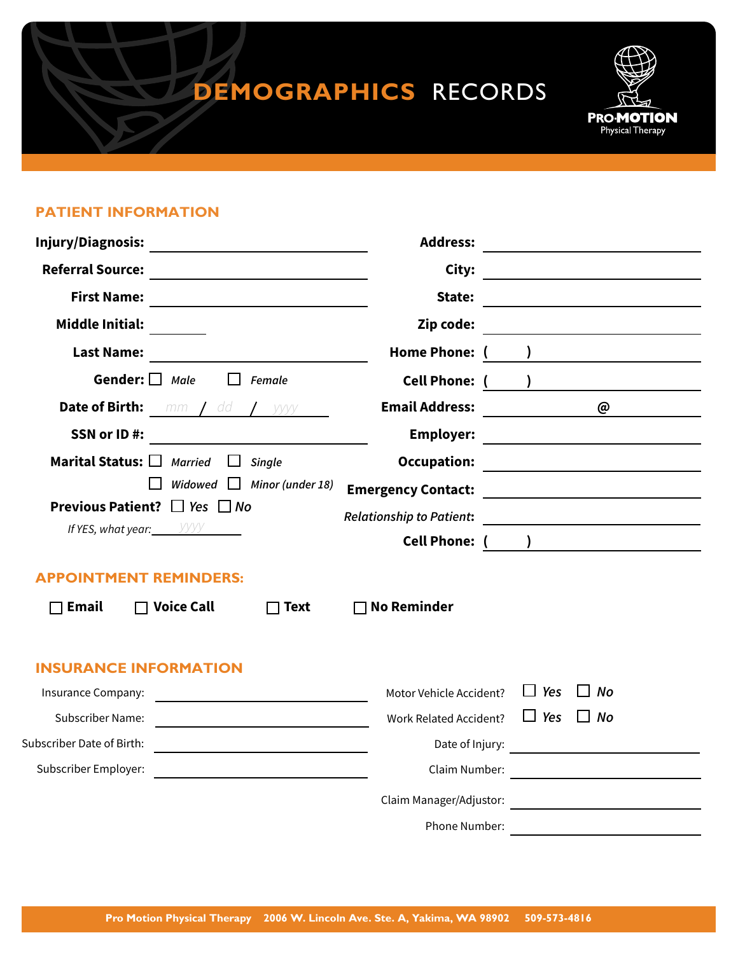# **DEMOGRAPHICS** RECORDS



#### **PATIENT INFORMATION**

| Injury/Diagnosis:<br><u> 1989 - Andrea Station Books, amerikansk politik (</u><br><b>Referral Source:</b><br><b>First Name:</b> |                      |                                 | <b>Address:</b>                 |                          | <u> 1980 - Jan Samuel Barbara, martin di</u>                               |
|---------------------------------------------------------------------------------------------------------------------------------|----------------------|---------------------------------|---------------------------------|--------------------------|----------------------------------------------------------------------------|
|                                                                                                                                 |                      |                                 | City:                           |                          |                                                                            |
|                                                                                                                                 |                      |                                 | State:                          |                          | <u> 1980 - Johann Barbara, martxa amerikan personal (h. 1980).</u>         |
| <b>Middle Initial:</b>                                                                                                          |                      |                                 | Zip code:                       |                          |                                                                            |
| <b>Last Name:</b>                                                                                                               |                      |                                 | Home Phone: (                   |                          |                                                                            |
| Gender: $\Box$ Male                                                                                                             |                      | Female                          | <b>Cell Phone: (</b>            | $\overline{\phantom{a}}$ |                                                                            |
| Date of Birth:                                                                                                                  | $mm$ / dd / $\gamma$ |                                 | <b>Email Address:</b>           |                          | @                                                                          |
| SSN or ID#:                                                                                                                     |                      |                                 | <b>Employer:</b>                |                          |                                                                            |
| Marital Status: $\square$                                                                                                       | <b>Married</b>       | Single                          | <b>Occupation:</b>              |                          | the control of the control of the control of the control of the control of |
|                                                                                                                                 |                      | Widowed $\Box$ Minor (under 18) | <b>Emergency Contact:</b>       |                          | <u> 1980 - Johann Barbara, martxa alemaniar a</u>                          |
| <b>Previous Patient?</b> $\Box$ Yes $\Box$ No<br>If YES, what year: $\frac{y}{y}$                                               |                      |                                 | <b>Relationship to Patient:</b> |                          |                                                                            |
|                                                                                                                                 |                      |                                 |                                 |                          |                                                                            |
| <b>APPOINTMENT REMINDERS:</b>                                                                                                   |                      |                                 |                                 |                          |                                                                            |
| <b>Email</b>                                                                                                                    | $\Box$ Voice Call    | $\Box$ Text                     | <b>No Reminder</b>              |                          |                                                                            |
| <b>INSURANCE INFORMATION</b>                                                                                                    |                      |                                 |                                 |                          |                                                                            |
| Insurance Company:                                                                                                              |                      |                                 | Motor Vehicle Accident?         | $\Box$ Yes               | $\Box$ No                                                                  |
| <b>Subscriber Name:</b>                                                                                                         |                      |                                 | <b>Work Related Accident?</b>   | $\Box$ Yes               | $\Box$ No                                                                  |
| Subscriber Date of Birth:                                                                                                       |                      |                                 | Date of Injury:                 |                          |                                                                            |
| Subscriber Employer:                                                                                                            |                      |                                 | Claim Number:                   |                          | <u> 1980 - Jan Samuel Barbara, martin di</u>                               |
|                                                                                                                                 |                      |                                 | Claim Manager/Adjustor:         |                          | <u> 1980 - Jan Barbara Barbara, manazarta </u>                             |
|                                                                                                                                 |                      |                                 | Phone Number:                   |                          |                                                                            |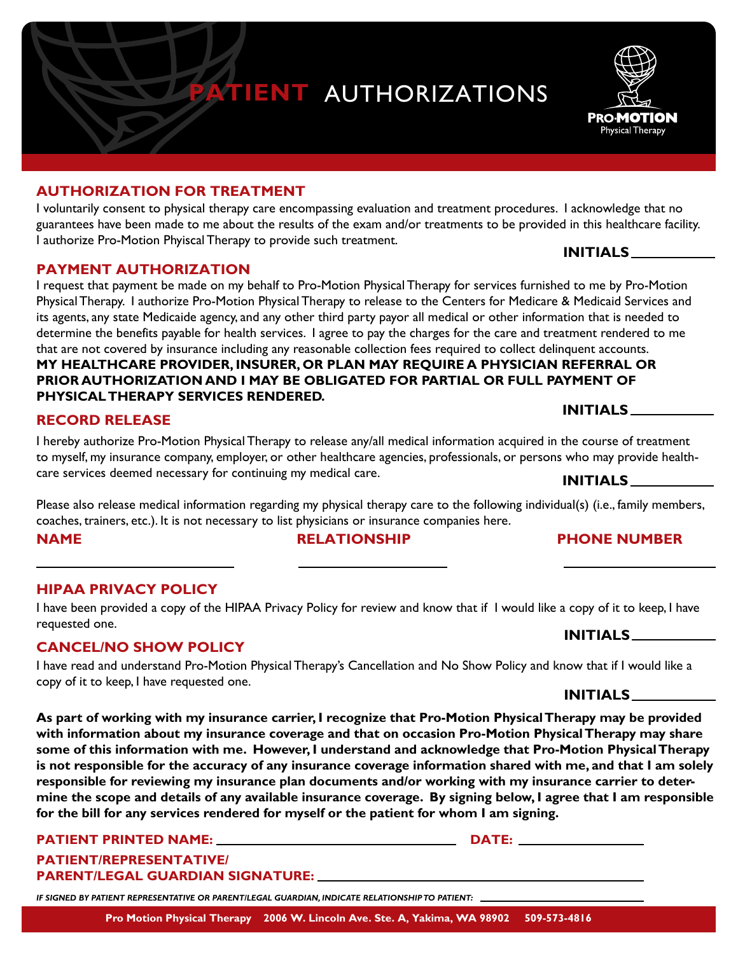

#### **AUTHORIZATION FOR TREATMENT**

I voluntarily consent to physical therapy care encompassing evaluation and treatment procedures. I acknowledge that no guarantees have been made to me about the results of the exam and/or treatments to be provided in this healthcare facility. I authorize Pro-Motion Phyiscal Therapy to provide such treatment. **INITIALS**

#### **PAYMENT AUTHORIZATION**

I request that payment be made on my behalf to Pro-Motion Physical Therapy for services furnished to me by Pro-Motion Physical Therapy. I authorize Pro-Motion Physical Therapy to release to the Centers for Medicare & Medicaid Services and its agents, any state Medicaide agency, and any other third party payor all medical or other information that is needed to determine the benefits payable for health services. I agree to pay the charges for the care and treatment rendered to me that are not covered by insurance including any reasonable collection fees required to collect delinquent accounts.

#### **MY HEALTHCARE PROVIDER, INSURER, OR PLAN MAY REQUIRE A PHYSICIAN REFERRAL OR PRIOR AUTHORIZATION AND I MAY BE OBLIGATED FOR PARTIAL OR FULL PAYMENT OF PHYSICAL THERAPY SERVICES RENDERED. INITIALS**

### **RECORD RELEASE**

I hereby authorize Pro-Motion Physical Therapy to release any/all medical information acquired in the course of treatment to myself, my insurance company, employer, or other healthcare agencies, professionals, or persons who may provide healthcare services deemed necessary for continuing my medical care. **INITIALS**

Please also release medical information regarding my physical therapy care to the following individual(s) (i.e., family members, coaches, trainers, etc.). It is not necessary to list physicians or insurance companies here.

**NAME RELATIONSHIP PHONE NUMBER**

### **HIPAA PRIVACY POLICY**

I have been provided a copy of the HIPAA Privacy Policy for review and know that if I would like a copy of it to keep, I have requested one.

## **CANCEL/NO SHOW POLICY**

I have read and understand Pro-Motion Physical Therapy's Cancellation and No Show Policy and know that if I would like a copy of it to keep, I have requested one.

**As part of working with my insurance carrier, I recognize that Pro-Motion Physical Therapy may be provided with information about my insurance coverage and that on occasion Pro-Motion Physical Therapy may share some of this information with me. However, I understand and acknowledge that Pro-Motion Physical Therapy is not responsible for the accuracy of any insurance coverage information shared with me, and that I am solely responsible for reviewing my insurance plan documents and/or working with my insurance carrier to determine the scope and details of any available insurance coverage. By signing below, I agree that I am responsible for the bill for any services rendered for myself or the patient for whom I am signing.** 

# **PATIENT PRINTED NAME: DATE:**

#### **PATIENT/REPRESENTATIVE/ PARENT/LEGAL GUARDIAN SIGNATURE:**

*IF SIGNED BY PATIENT REPRESENTATIVE OR PARENT/LEGAL GUARDIAN, INDICATE RELATIONSHIP TO PATIENT:*

### **INITIALS**

## **INITIALS**

**PRO-MOTION** Physical Therapy

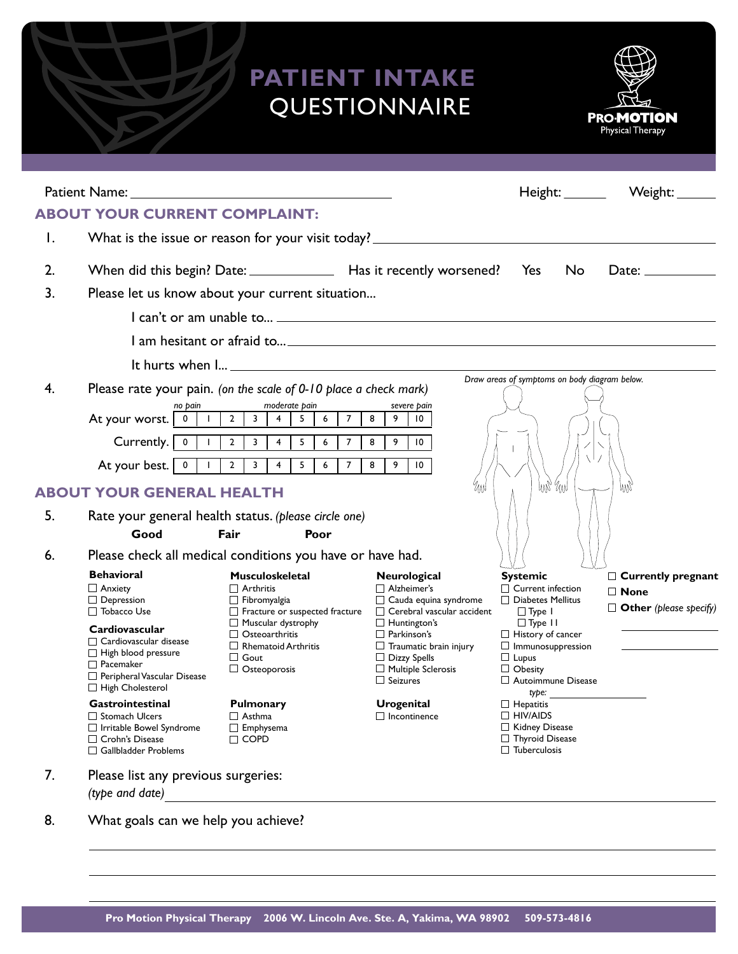# **PATIENT INTAKE**  QUESTIONNAIRE



|                                                                                                         |                                                                                                                   | Patient Name: Name: Name: Name: Name: Name: Name: Name: Name: Name: Name: Name: Name: Name: Name: Name: Name: Name: Name: Name: Name: Name: Name: Name: Name: Name: Name: Name: Name: Name: Name: Name: Name: Name: Name: Name |                                                       |                                                      | Height: Weight: _______       |  |  |
|---------------------------------------------------------------------------------------------------------|-------------------------------------------------------------------------------------------------------------------|--------------------------------------------------------------------------------------------------------------------------------------------------------------------------------------------------------------------------------|-------------------------------------------------------|------------------------------------------------------|-------------------------------|--|--|
|                                                                                                         | <b>ABOUT YOUR CURRENT COMPLAINT:</b>                                                                              |                                                                                                                                                                                                                                |                                                       |                                                      |                               |  |  |
| Ι.                                                                                                      |                                                                                                                   | What is the issue or reason for your visit today? ______________________________                                                                                                                                               |                                                       |                                                      |                               |  |  |
| 2.                                                                                                      |                                                                                                                   | When did this begin? Date: _______________ Has it recently worsened? Yes                                                                                                                                                       |                                                       | <b>No</b>                                            | Date: $\_\_$                  |  |  |
| 3.                                                                                                      |                                                                                                                   | Please let us know about your current situation                                                                                                                                                                                |                                                       |                                                      |                               |  |  |
|                                                                                                         |                                                                                                                   | I can't or am unable to $\qquad \qquad$                                                                                                                                                                                        |                                                       |                                                      |                               |  |  |
|                                                                                                         |                                                                                                                   |                                                                                                                                                                                                                                |                                                       |                                                      |                               |  |  |
|                                                                                                         |                                                                                                                   |                                                                                                                                                                                                                                |                                                       |                                                      |                               |  |  |
| 4.                                                                                                      | Draw areas of symptoms on body diagram below.<br>Please rate your pain. (on the scale of 0-10 place a check mark) |                                                                                                                                                                                                                                |                                                       |                                                      |                               |  |  |
|                                                                                                         | no pain                                                                                                           | moderate pain                                                                                                                                                                                                                  | severe pain                                           |                                                      |                               |  |  |
|                                                                                                         |                                                                                                                   | $\overline{2}$<br>$\overline{\mathbf{3}}$<br>$\overline{7}$<br>$\overline{4}$<br>5 <sub>1</sub><br>$6\overline{6}$                                                                                                             | 8<br>9<br>10                                          |                                                      |                               |  |  |
|                                                                                                         | Currently.   0   1                                                                                                | $\overline{4}$<br>$\overline{5}$<br>$2^{\circ}$<br>$\frac{1}{3}$<br>$6\phantom{.}6$<br>$\overline{7}$                                                                                                                          | 8<br>9<br>$\overline{10}$                             |                                                      |                               |  |  |
|                                                                                                         |                                                                                                                   | $2 \mid 3$<br>5<br>$\overline{4}$<br>7 <sup>7</sup><br>$6\overline{6}$                                                                                                                                                         | 8<br>9<br>$\overline{10}$                             | χI                                                   |                               |  |  |
|                                                                                                         | <b>ABOUT YOUR GENERAL HEALTH</b>                                                                                  |                                                                                                                                                                                                                                | MN                                                    | hw, <sub>wy</sub>                                    | 9 N                           |  |  |
|                                                                                                         |                                                                                                                   |                                                                                                                                                                                                                                |                                                       |                                                      |                               |  |  |
| 5.                                                                                                      |                                                                                                                   | Rate your general health status. (please circle one)                                                                                                                                                                           |                                                       |                                                      |                               |  |  |
|                                                                                                         | Good                                                                                                              | Fair<br>Poor                                                                                                                                                                                                                   |                                                       |                                                      |                               |  |  |
| 6.                                                                                                      |                                                                                                                   | Please check all medical conditions you have or have had.                                                                                                                                                                      |                                                       |                                                      |                               |  |  |
|                                                                                                         | <b>Behavioral</b>                                                                                                 | <b>Musculoskeletal</b>                                                                                                                                                                                                         | Neurological                                          | <b>Systemic</b>                                      | $\Box$ Currently pregnant     |  |  |
|                                                                                                         | $\Box$ Anxiety<br>$\Box$ Depression                                                                               | $\Box$ Arthritis<br>$\Box$ Fibromyalgia                                                                                                                                                                                        | $\Box$ Alzheimer's                                    | $\Box$ Current infection<br>$\Box$ Diabetes Mellitus | $\Box$ None                   |  |  |
|                                                                                                         | $\Box$ Tobacco Use                                                                                                | $\Box$ Fracture or suspected fracture                                                                                                                                                                                          | □ Cauda equina syndrome<br>Cerebral vascular accident | $\Box$ Type 1                                        | $\Box$ Other (please specify) |  |  |
|                                                                                                         | Cardiovascular                                                                                                    | Muscular dystrophy                                                                                                                                                                                                             | $\Box$ Huntington's                                   | $\Box$ Type II                                       |                               |  |  |
|                                                                                                         | $\Box$ Cardiovascular disease                                                                                     | $\Box$ Osteoarthritis                                                                                                                                                                                                          | $\Box$ Parkinson's                                    | $\Box$ History of cancer                             |                               |  |  |
|                                                                                                         | $\Box$ High blood pressure                                                                                        | $\Box$ Rhematoid Arthritis<br>$\Box$ Gout                                                                                                                                                                                      | $\Box$ Traumatic brain injury<br>$\Box$ Dizzy Spells  | $\Box$ Immunosuppression<br>$\Box$ Lupus             |                               |  |  |
|                                                                                                         | $\Box$ Pacemaker                                                                                                  | $\Box$ Osteoporosis                                                                                                                                                                                                            | $\Box$ Multiple Sclerosis                             | $\Box$ Obesity                                       |                               |  |  |
| Peripheral Vascular Disease<br>□ High Cholesterol                                                       |                                                                                                                   |                                                                                                                                                                                                                                | $\Box$ Seizures                                       | Autoimmune Disease                                   |                               |  |  |
|                                                                                                         | Gastrointestinal                                                                                                  | Pulmonary                                                                                                                                                                                                                      | <b>Urogenital</b>                                     | type:<br>$\Box$ Hepatitis                            |                               |  |  |
| □ Stomach Ulcers<br>□ Irritable Bowel Syndrome<br>$\Box$ Crohn's Disease<br>$\Box$ Gallbladder Problems |                                                                                                                   | $\Box$ Asthma                                                                                                                                                                                                                  | $\Box$ Incontinence                                   | $\Box$ HIV/AIDS                                      |                               |  |  |
|                                                                                                         |                                                                                                                   | $\Box$ Emphysema<br>$\Box$ COPD                                                                                                                                                                                                |                                                       | Kidney Disease<br>□ Thyroid Disease                  |                               |  |  |
|                                                                                                         |                                                                                                                   |                                                                                                                                                                                                                                |                                                       | $\Box$ Tuberculosis                                  |                               |  |  |
|                                                                                                         |                                                                                                                   |                                                                                                                                                                                                                                |                                                       |                                                      |                               |  |  |
| 7.                                                                                                      | Please list any previous surgeries:                                                                               |                                                                                                                                                                                                                                |                                                       |                                                      |                               |  |  |

8. What goals can we help you achieve?